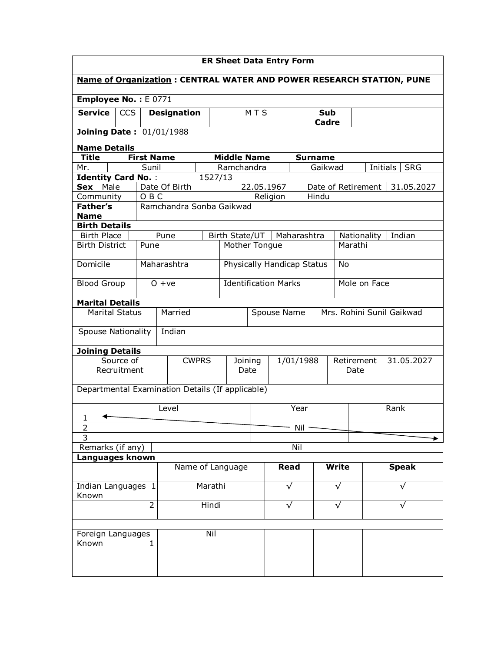| <b>ER Sheet Data Entry Form</b>                                      |                                 |                   |                                                  |         |                             |                                      |                            |              |                    |                          |                           |                        |  |
|----------------------------------------------------------------------|---------------------------------|-------------------|--------------------------------------------------|---------|-----------------------------|--------------------------------------|----------------------------|--------------|--------------------|--------------------------|---------------------------|------------------------|--|
| Name of Organization: CENTRAL WATER AND POWER RESEARCH STATION, PUNE |                                 |                   |                                                  |         |                             |                                      |                            |              |                    |                          |                           |                        |  |
| Employee No.: E0771                                                  |                                 |                   |                                                  |         |                             |                                      |                            |              |                    |                          |                           |                        |  |
| <b>Service</b>                                                       | <b>CCS</b>                      |                   | <b>Designation</b>                               |         |                             | <b>MTS</b>                           |                            |              | Sub<br>Cadre       |                          |                           |                        |  |
|                                                                      | <b>Joining Date: 01/01/1988</b> |                   |                                                  |         |                             |                                      |                            |              |                    |                          |                           |                        |  |
| <b>Name Details</b>                                                  |                                 |                   |                                                  |         |                             |                                      |                            |              |                    |                          |                           |                        |  |
| <b>Title</b>                                                         |                                 | <b>First Name</b> |                                                  |         |                             | <b>Middle Name</b><br><b>Surname</b> |                            |              |                    |                          |                           |                        |  |
| Mr.                                                                  |                                 | Sunil             |                                                  |         | Ramchandra                  |                                      |                            |              | Gaikwad            |                          |                           | Initials<br><b>SRG</b> |  |
| <b>Identity Card No.:</b><br>Male<br>Sex                             |                                 |                   | Date Of Birth                                    | 1527/13 |                             | 22.05.1967                           |                            |              | Date of Retirement |                          |                           | 31.05.2027             |  |
| Community                                                            |                                 | OBC               |                                                  |         |                             |                                      | Religion                   |              | Hindu              |                          |                           |                        |  |
| <b>Father's</b>                                                      |                                 |                   | Ramchandra Sonba Gaikwad                         |         |                             |                                      |                            |              |                    |                          |                           |                        |  |
| <b>Name</b>                                                          |                                 |                   |                                                  |         |                             |                                      |                            |              |                    |                          |                           |                        |  |
| <b>Birth Details</b>                                                 |                                 |                   |                                                  |         |                             |                                      |                            |              |                    |                          |                           |                        |  |
| <b>Birth Place</b>                                                   |                                 |                   | Pune                                             |         | Birth State/UT              |                                      | Maharashtra                |              |                    | Nationality              |                           | Indian                 |  |
| <b>Birth District</b>                                                |                                 | Pune              |                                                  |         | Mother Tongue               |                                      |                            |              |                    | Marathi                  |                           |                        |  |
| Domicile                                                             |                                 |                   | Maharashtra                                      |         |                             |                                      | Physically Handicap Status |              |                    | No                       |                           |                        |  |
| <b>Blood Group</b>                                                   |                                 |                   | $0 + ve$                                         |         | <b>Identification Marks</b> |                                      |                            |              |                    | Mole on Face             |                           |                        |  |
| <b>Marital Details</b>                                               |                                 |                   |                                                  |         |                             |                                      |                            |              |                    |                          |                           |                        |  |
| <b>Marital Status</b>                                                |                                 |                   | Married                                          |         |                             |                                      | Spouse Name                |              |                    |                          | Mrs. Rohini Sunil Gaikwad |                        |  |
| <b>Spouse Nationality</b>                                            |                                 |                   | Indian                                           |         |                             |                                      |                            |              |                    |                          |                           |                        |  |
| <b>Joining Details</b>                                               |                                 |                   |                                                  |         |                             |                                      |                            |              |                    |                          |                           |                        |  |
|                                                                      | Source of                       |                   | <b>CWPRS</b><br>Joining                          |         |                             |                                      | 1/01/1988                  |              |                    | 31.05.2027<br>Retirement |                           |                        |  |
|                                                                      | Recruitment                     |                   |                                                  | Date    |                             |                                      |                            |              |                    | Date                     |                           |                        |  |
|                                                                      |                                 |                   | Departmental Examination Details (If applicable) |         |                             |                                      |                            |              |                    |                          |                           |                        |  |
| ↞                                                                    |                                 |                   | Level                                            |         |                             | Year                                 |                            |              |                    | Rank                     |                           |                        |  |
| $\mathbf{1}$                                                         |                                 |                   |                                                  |         |                             |                                      |                            |              |                    |                          |                           |                        |  |
| 2<br>$\overline{3}$                                                  |                                 |                   |                                                  |         |                             |                                      | Nil                        |              |                    |                          |                           |                        |  |
| Remarks (if any)                                                     |                                 |                   |                                                  |         |                             |                                      | Nil                        |              |                    |                          |                           |                        |  |
| Languages known                                                      |                                 |                   |                                                  |         |                             |                                      |                            |              |                    |                          |                           |                        |  |
| Name of Language                                                     |                                 |                   |                                                  |         |                             | <b>Read</b>                          |                            | <b>Write</b> |                    |                          | <b>Speak</b>              |                        |  |
| Indian Languages 1<br>Known                                          |                                 |                   |                                                  | Marathi |                             |                                      | $\sqrt{}$                  |              | √                  |                          | √                         |                        |  |
| 2                                                                    |                                 |                   | Hindi                                            |         |                             | $\sqrt{}$                            |                            | $\sqrt{}$    |                    |                          | √                         |                        |  |
|                                                                      |                                 |                   |                                                  |         |                             |                                      |                            |              |                    |                          |                           |                        |  |
| Foreign Languages<br>Known                                           |                                 | 1.                |                                                  | Nil     |                             |                                      |                            |              |                    |                          |                           |                        |  |
|                                                                      |                                 |                   |                                                  |         |                             |                                      |                            |              |                    |                          |                           |                        |  |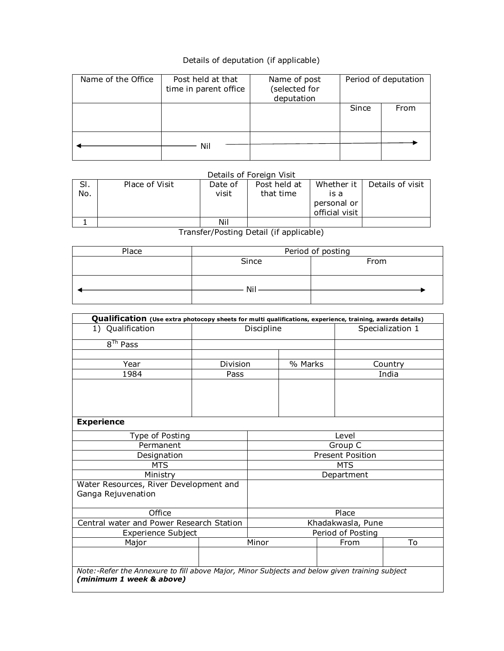## Details of deputation (if applicable)

| Name of the Office | Post held at that<br>time in parent office | Name of post<br>(selected for<br>deputation | Period of deputation |      |  |
|--------------------|--------------------------------------------|---------------------------------------------|----------------------|------|--|
|                    |                                            |                                             | Since                | From |  |
|                    | Nil                                        |                                             |                      |      |  |

## Details of Foreign Visit

| SI.<br>No. | Place of Visit | Date of<br>visit | Post held at<br>that time | Whether it<br>is a<br>personal or<br>official visit | Details of visit |
|------------|----------------|------------------|---------------------------|-----------------------------------------------------|------------------|
|            |                | Nil              |                           |                                                     |                  |

Transfer/Posting Detail (if applicable)

| Period of posting |  |  |  |  |  |
|-------------------|--|--|--|--|--|
| Since<br>From     |  |  |  |  |  |
|                   |  |  |  |  |  |
|                   |  |  |  |  |  |
| Nil               |  |  |  |  |  |
|                   |  |  |  |  |  |
|                   |  |  |  |  |  |

| Qualification (Use extra photocopy sheets for multi qualifications, experience, training, awards details) |                                                                                               |                   |  |         |                  |  |  |  |  |  |  |  |  |
|-----------------------------------------------------------------------------------------------------------|-----------------------------------------------------------------------------------------------|-------------------|--|---------|------------------|--|--|--|--|--|--|--|--|
| 1) Qualification<br>Discipline                                                                            |                                                                                               |                   |  |         | Specialization 1 |  |  |  |  |  |  |  |  |
| 8 <sup>Th</sup> Pass                                                                                      |                                                                                               |                   |  |         |                  |  |  |  |  |  |  |  |  |
|                                                                                                           |                                                                                               |                   |  |         |                  |  |  |  |  |  |  |  |  |
| Year                                                                                                      | Division                                                                                      |                   |  | % Marks | Country          |  |  |  |  |  |  |  |  |
| 1984                                                                                                      | Pass                                                                                          |                   |  |         | India            |  |  |  |  |  |  |  |  |
|                                                                                                           |                                                                                               |                   |  |         |                  |  |  |  |  |  |  |  |  |
|                                                                                                           |                                                                                               |                   |  |         |                  |  |  |  |  |  |  |  |  |
|                                                                                                           |                                                                                               |                   |  |         |                  |  |  |  |  |  |  |  |  |
|                                                                                                           |                                                                                               |                   |  |         |                  |  |  |  |  |  |  |  |  |
| <b>Experience</b>                                                                                         |                                                                                               |                   |  |         |                  |  |  |  |  |  |  |  |  |
| Type of Posting                                                                                           | Level                                                                                         |                   |  |         |                  |  |  |  |  |  |  |  |  |
| Permanent                                                                                                 |                                                                                               |                   |  |         | Group C          |  |  |  |  |  |  |  |  |
| Designation                                                                                               | <b>Present Position</b>                                                                       |                   |  |         |                  |  |  |  |  |  |  |  |  |
| <b>MTS</b>                                                                                                | <b>MTS</b>                                                                                    |                   |  |         |                  |  |  |  |  |  |  |  |  |
| Ministry                                                                                                  |                                                                                               | Department        |  |         |                  |  |  |  |  |  |  |  |  |
| Water Resources, River Development and                                                                    |                                                                                               |                   |  |         |                  |  |  |  |  |  |  |  |  |
| Ganga Rejuvenation                                                                                        |                                                                                               |                   |  |         |                  |  |  |  |  |  |  |  |  |
|                                                                                                           |                                                                                               |                   |  |         |                  |  |  |  |  |  |  |  |  |
| Office                                                                                                    |                                                                                               | Place             |  |         |                  |  |  |  |  |  |  |  |  |
| Central water and Power Research Station                                                                  |                                                                                               | Khadakwasla, Pune |  |         |                  |  |  |  |  |  |  |  |  |
| Experience Subject                                                                                        | Period of Posting                                                                             |                   |  |         |                  |  |  |  |  |  |  |  |  |
| Major                                                                                                     |                                                                                               | Minor             |  | From    | To               |  |  |  |  |  |  |  |  |
|                                                                                                           |                                                                                               |                   |  |         |                  |  |  |  |  |  |  |  |  |
|                                                                                                           | Note:-Refer the Annexure to fill above Major, Minor Subjects and below given training subject |                   |  |         |                  |  |  |  |  |  |  |  |  |
| (minimum 1 week & above)                                                                                  |                                                                                               |                   |  |         |                  |  |  |  |  |  |  |  |  |
|                                                                                                           |                                                                                               |                   |  |         |                  |  |  |  |  |  |  |  |  |